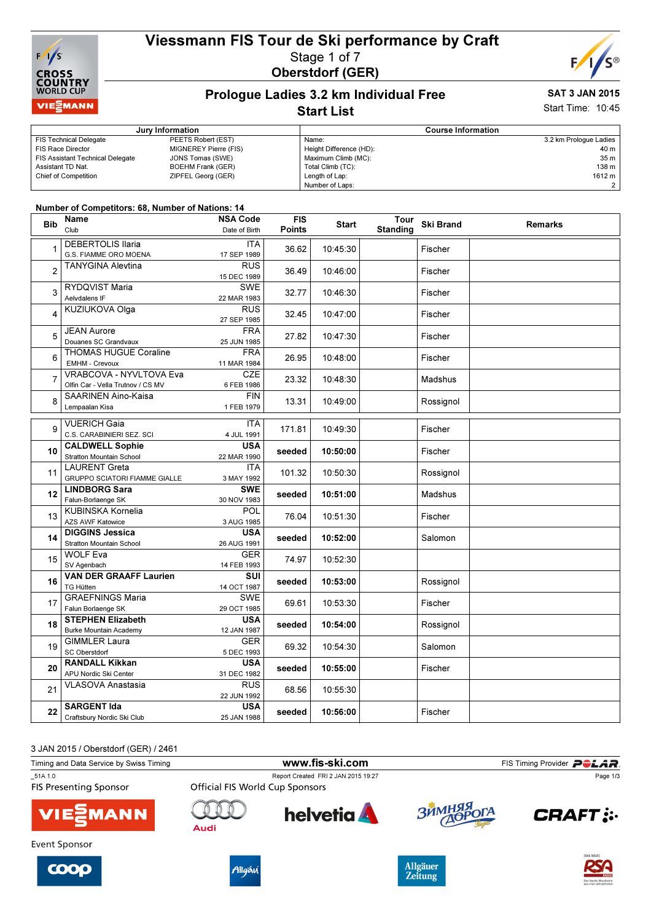

# Viessmann FIS Tour de Ski performance by Craft Stage 1 of 7 Oberstdorf (GER)



### Prologue Ladies 3.2 km Individual Free Start List

# SAT 3 JAN 2015

Start Time: 10:45

|                                         | Jury Information         | <b>Course Information</b> |                        |  |
|-----------------------------------------|--------------------------|---------------------------|------------------------|--|
| <b>FIS Technical Delegate</b>           | PEETS Robert (EST)       | Name:                     | 3.2 km Prologue Ladies |  |
| FIS Race Director                       | MIGNEREY Pierre (FIS)    | Height Difference (HD):   | 40 m l                 |  |
| <b>FIS Assistant Technical Delegate</b> | JONS Tomas (SWE)         | Maximum Climb (MC):       | 35 m                   |  |
| Assistant TD Nat.                       | <b>BOEHM Frank (GER)</b> | Total Climb (TC):         | 138 m                  |  |
| <b>Chief of Competition</b>             | ZIPFEL Georg (GER)       | Length of Lap:            | 1612 m                 |  |
|                                         |                          | Number of Laps:           |                        |  |

#### Number of Competitors: 68, Number of Nations: 14

| <b>Bib</b>     | Name                                       | <b>NSA Code</b>           | <b>FIS</b>    | <b>Start</b>         | Tour            | <b>Ski Brand</b> | <b>Remarks</b> |
|----------------|--------------------------------------------|---------------------------|---------------|----------------------|-----------------|------------------|----------------|
|                | Club                                       | Date of Birth             | <b>Points</b> |                      | <b>Standing</b> |                  |                |
| 1              | <b>DEBERTOLIS Ilaria</b>                   | <b>ITA</b>                |               |                      |                 |                  |                |
|                | G.S. FIAMME ORO MOENA                      | 17 SEP 1989               | 36.62         | 10:45:30             |                 | Fischer          |                |
| $\overline{2}$ | <b>TANYGINA Alevtina</b>                   | <b>RUS</b>                | 36.49         | 10:46:00             |                 | Fischer          |                |
|                |                                            | 15 DEC 1989               |               |                      |                 |                  |                |
| 3              | RYDQVIST Maria                             | <b>SWE</b>                | 32.77         | 10:46:30             |                 | Fischer          |                |
|                | Aelvdalens IF                              | 22 MAR 1983               |               |                      |                 |                  |                |
| 4              | <b>KUZIUKOVA Olga</b>                      | RUS                       | 32.45         | 10:47:00             |                 | Fischer          |                |
|                |                                            | 27 SEP 1985               |               |                      |                 |                  |                |
| 5              | <b>JEAN Aurore</b><br>Douanes SC Grandvaux | <b>FRA</b><br>25 JUN 1985 | 27.82         | 10:47:30<br>10:48:00 |                 | Fischer          |                |
|                | <b>THOMAS HUGUE Coraline</b>               | <b>FRA</b>                |               |                      |                 |                  |                |
| 6              | <b>EMHM - Crevoux</b>                      | 11 MAR 1984               | 26.95         |                      |                 | Fischer          |                |
|                | VRABCOVA - NYVLTOVA Eva                    | CZE                       |               |                      |                 |                  |                |
| 7              | Olfin Car - Vella Trutnov / CS MV          | 6 FEB 1986                | 23.32         | 10:48:30             |                 | Madshus          |                |
|                | SAARINEN Aino-Kaisa                        | <b>FIN</b>                |               |                      |                 |                  |                |
| 8              | Lempaalan Kisa                             | 1 FEB 1979                | 13.31         | 10:49:00             |                 | Rossignol        |                |
|                | <b>VUERICH Gaia</b>                        | <b>ITA</b>                |               |                      |                 |                  |                |
| 9              | C.S. CARABINIERI SEZ. SCI                  | 4 JUL 1991                | 171.81        | 10:49:30             |                 | Fischer          |                |
| 10             | <b>CALDWELL Sophie</b>                     | <b>USA</b>                |               |                      |                 |                  |                |
|                | <b>Stratton Mountain School</b>            | 22 MAR 1990               | seeded        | 10:50:00             |                 | Fischer          |                |
|                | <b>LAURENT Greta</b>                       | <b>ITA</b>                | 101.32        | 10:50:30             |                 | Rossignol        |                |
| 11             | <b>GRUPPO SCIATORI FIAMME GIALLE</b>       | 3 MAY 1992                |               |                      |                 |                  |                |
| 12             | <b>LINDBORG Sara</b>                       | <b>SWE</b>                | seeded        | 10:51:00             |                 | Madshus          |                |
|                | Falun-Borlaenge SK                         | 30 NOV 1983               |               |                      |                 |                  |                |
| 13             | KUBINSKA Kornelia                          | POL                       | 76.04         | 10:51:30             |                 | Fischer          |                |
|                | <b>AZS AWF Katowice</b>                    | 3 AUG 1985                |               |                      |                 |                  |                |
| 14             | <b>DIGGINS Jessica</b>                     | <b>USA</b>                | seeded        | 10:52:00             |                 | Salomon          |                |
|                | <b>Stratton Mountain School</b>            | 26 AUG 1991               |               |                      |                 |                  |                |
| 15             | <b>WOLF Eva</b>                            | <b>GER</b>                | 74.97         | 10:52:30             |                 |                  |                |
|                | SV Agenbach                                | 14 FEB 1993               |               |                      |                 |                  |                |
| 16             | <b>VAN DER GRAAFF Laurien</b><br>TG Hütten | <b>SUI</b>                | seeded        | 10:53:00             |                 | Rossignol        |                |
|                | <b>GRAEFNINGS Maria</b>                    | 14 OCT 1987<br><b>SWE</b> |               | 10:53:30             |                 | Fischer          |                |
| 17             | Falun Borlaenge SK                         | 29 OCT 1985               | 69.61         |                      |                 |                  |                |
|                | <b>STEPHEN Elizabeth</b>                   | <b>USA</b>                |               | 10:54:00             |                 | Rossignol        |                |
| 18             | <b>Burke Mountain Academy</b>              | 12 JAN 1987               | seeded        |                      |                 |                  |                |
| 19             | <b>GIMMLER Laura</b>                       | <b>GER</b>                | 69.32         | 10:54:30             |                 | Salomon          |                |
|                | SC Oberstdorf                              | 5 DEC 1993                |               |                      |                 |                  |                |
| 20             | <b>RANDALL Kikkan</b>                      | <b>USA</b>                | seeded        | 10:55:00             |                 |                  |                |
|                | APU Nordic Ski Center                      | 31 DEC 1982               |               |                      |                 | Fischer          |                |
| 21             | <b>VLASOVA Anastasia</b>                   | <b>RUS</b>                | 68.56         | 10:55:30             |                 |                  |                |
|                |                                            | 22 JUN 1992               |               |                      |                 |                  |                |
| 22             | <b>SARGENT Ida</b>                         | USA                       | seeded        | 10:56:00             |                 | Fischer          |                |
|                | Craftsbury Nordic Ski Club                 | 25 JAN 1988               |               |                      |                 |                  |                |

3 JAN 2015 / Oberstdorf (GER) / 2461

| Timing and Data Service by Swiss Timing  |                                        |                                     | FIS Timing Provider <b>POLAR</b> . |                 |
|------------------------------------------|----------------------------------------|-------------------------------------|------------------------------------|-----------------|
| 51A 1.0<br><b>FIS Presenting Sponsor</b> | <b>Official FIS World Cup Sponsors</b> | Report Created FRI 2 JAN 2015 19:27 |                                    | Page 1/3        |
| <b>VIE EMANN</b>                         | Audi                                   | <b>helvetia</b>                     | ЗЙМНЯЯ ОГА                         | <b>CRAFT:</b>   |
| Event Sponsor                            |                                        |                                     |                                    |                 |
|                                          |                                        |                                     | $\Delta$ llaäuor                   | <b>DAS NEUE</b> |







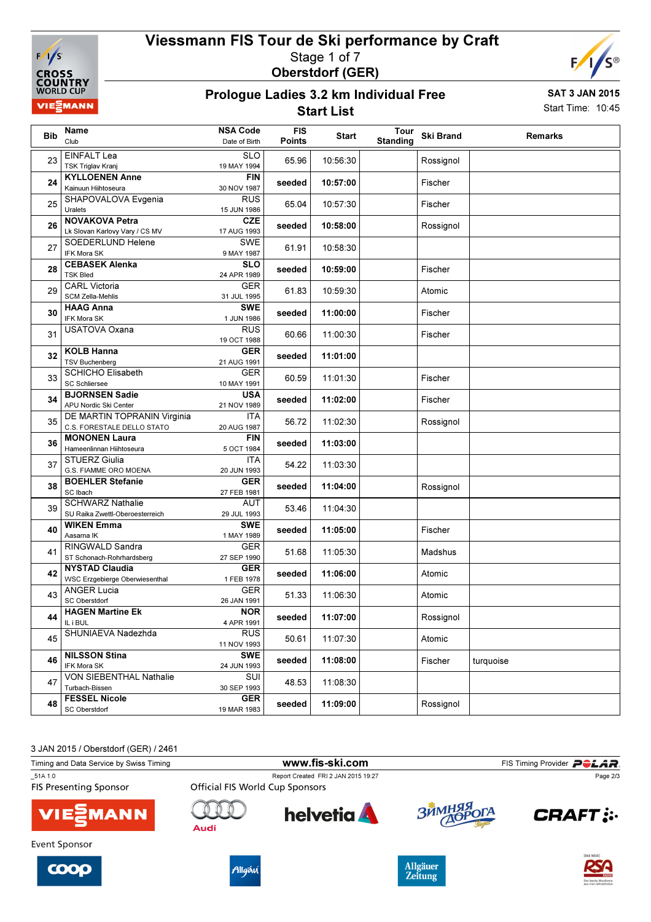

# Viessmann FIS Tour de Ski performance by Craft Stage 1 of 7 Oberstdorf (GER)



#### Prologue Ladies 3.2 km Individual Free Start List

SAT 3 JAN 2015 Start Time: 10:45

|            | Name                                                    | <b>NSA Code</b>           | <b>FIS</b>    |              | Tour            |                  |                |
|------------|---------------------------------------------------------|---------------------------|---------------|--------------|-----------------|------------------|----------------|
| <b>Bib</b> | Club                                                    | Date of Birth             | <b>Points</b> | <b>Start</b> | <b>Standing</b> | <b>Ski Brand</b> | <b>Remarks</b> |
| 23         | <b>EINFALT Lea</b>                                      | <b>SLO</b>                | 65.96         | 10:56:30     |                 | Rossignol        |                |
|            | <b>TSK Triglav Kranj</b>                                | 19 MAY 1994               |               |              |                 |                  |                |
| 24         | <b>KYLLOENEN Anne</b><br>Kainuun Hiihtoseura            | <b>FIN</b><br>30 NOV 1987 | seeded        | 10:57:00     |                 | Fischer          |                |
| 25         | SHAPOVALOVA Evgenia<br>Uralets                          | <b>RUS</b><br>15 JUN 1986 | 65.04         | 10:57:30     |                 | Fischer          |                |
| 26         | <b>NOVAKOVA Petra</b><br>Lk Slovan Karlovy Vary / CS MV | <b>CZE</b><br>17 AUG 1993 | seeded        | 10:58:00     |                 | Rossignol        |                |
| 27         | SOEDERLUND Helene                                       | <b>SWE</b>                | 61.91         | 10:58:30     |                 |                  |                |
|            | IFK Mora SK<br><b>CEBASEK Alenka</b>                    | 9 MAY 1987<br><b>SLO</b>  |               |              |                 |                  |                |
| 28         | <b>TSK Bled</b>                                         | 24 APR 1989               | seeded        | 10:59:00     |                 | Fischer          |                |
| 29         | <b>CARL Victoria</b><br><b>SCM Zella-Mehlis</b>         | <b>GER</b><br>31 JUL 1995 | 61.83         | 10:59:30     |                 | Atomic           |                |
| 30         | <b>HAAG Anna</b><br>IFK Mora SK                         | <b>SWE</b><br>1 JUN 1986  | seeded        | 11:00:00     |                 | Fischer          |                |
| 31         | <b>USATOVA Oxana</b>                                    | <b>RUS</b><br>19 OCT 1988 | 60.66         | 11:00:30     |                 | Fischer          |                |
| 32         | <b>KOLB Hanna</b><br><b>TSV Buchenberg</b>              | <b>GER</b><br>21 AUG 1991 | seeded        | 11:01:00     |                 |                  |                |
| 33         | <b>SCHICHO Elisabeth</b>                                | <b>GER</b>                | 60.59         | 11:01:30     |                 | Fischer          |                |
|            | <b>SC Schliersee</b>                                    | 10 MAY 1991               |               |              |                 |                  |                |
| 34         | <b>BJORNSEN Sadie</b><br>APU Nordic Ski Center          | <b>USA</b><br>21 NOV 1989 | seeded        | 11:02:00     |                 | Fischer          |                |
| 35         | DE MARTIN TOPRANIN Virginia                             | ITA                       | 56.72         | 11:02:30     |                 | Rossignol        |                |
|            | C.S. FORESTALE DELLO STATO                              | 20 AUG 1987               |               |              |                 |                  |                |
| 36         | <b>MONONEN Laura</b><br>Hameenlinnan Hiihtoseura        | <b>FIN</b><br>5 OCT 1984  | seeded        | 11:03:00     |                 |                  |                |
|            | <b>STUERZ Giulia</b>                                    | <b>ITA</b>                |               |              |                 |                  |                |
| 37         | G.S. FIAMME ORO MOENA                                   | 20 JUN 1993               | 54.22         | 11:03:30     |                 |                  |                |
|            | <b>BOEHLER Stefanie</b>                                 | <b>GER</b>                |               |              |                 |                  |                |
| 38         | SC Ibach                                                | 27 FEB 1981               | seeded        | 11:04:00     |                 | Rossignol        |                |
| 39         | <b>SCHWARZ Nathalie</b>                                 | <b>AUT</b>                | 53.46         | 11:04:30     |                 |                  |                |
|            | SU Raika Zwettl-Oberoesterreich<br><b>WIKEN Emma</b>    | 29 JUL 1993<br><b>SWE</b> |               |              |                 |                  |                |
| 40         | Aasarna IK                                              | 1 MAY 1989                | seeded        | 11:05:00     |                 | Fischer          |                |
| 41         | RINGWALD Sandra                                         | <b>GER</b>                | 51.68         | 11:05:30     |                 | Madshus          |                |
|            | ST Schonach-Rohrhardsberg                               | 27 SEP 1990               |               |              |                 |                  |                |
| 42         | <b>NYSTAD Claudia</b><br>WSC Erzgebierge Oberwiesenthal | <b>GER</b><br>1 FEB 1978  | seeded        | 11:06:00     |                 | Atomic           |                |
|            | <b>ANGER Lucia</b>                                      | <b>GER</b>                | 51.33         | 11:06:30     |                 | Atomic           |                |
| 43         | SC Oberstdorf                                           | 26 JAN 1991               |               |              |                 |                  |                |
|            | <b>HAGEN Martine Ek</b>                                 | <b>NOR</b>                |               |              |                 |                  |                |
| 44         | IL i BUL                                                | 4 APR 1991                | seeded        | 11:07:00     |                 | Rossignol        |                |
| 45         | SHUNIAEVA Nadezhda                                      | <b>RUS</b><br>11 NOV 1993 | 50.61         | 11:07:30     |                 | Atomic           |                |
|            | <b>NILSSON Stina</b>                                    | <b>SWE</b>                |               | 11:08:00     |                 | Fischer          |                |
| 46         | IFK Mora SK                                             | 24 JUN 1993               | seeded        |              |                 |                  | turquoise      |
| 47         | VON SIEBENTHAL Nathalie<br>Turbach-Bissen               | SUI<br>30 SEP 1993        | 48.53         | 11:08:30     |                 |                  |                |
| 48         | <b>FESSEL Nicole</b><br>SC Oberstdorf                   | <b>GER</b><br>19 MAR 1983 | seeded        | 11:09:00     |                 | Rossignol        |                |
|            |                                                         |                           |               |              |                 |                  |                |

3 JAN 2015 / Oberstdorf (GER) / 2461

Timing and Data Service by Swiss Timing **WWW.fis-Ski.com** FIS Timing Provider PCLAR. \_51A 1.0 Report Created FRI 2 JAN 2015 19:27 Page 2/3**FIS Presenting Sponsor**  $\bigcap$ **helvetia**  $\overline{\mathbf{B}}$ **CRAFT: :. MANN Audi** Event Sponsor